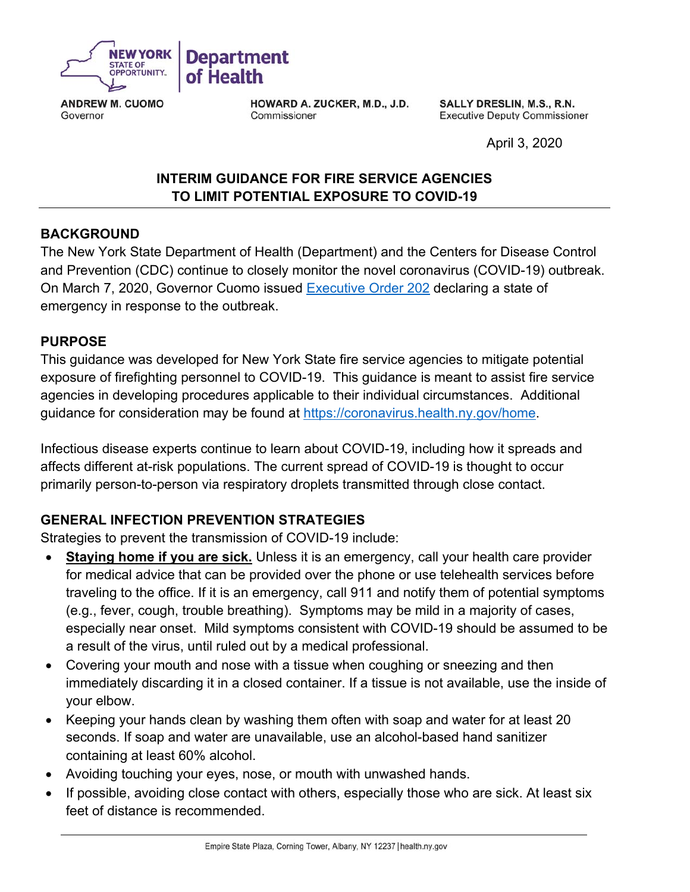

**ANDREW M. CUOMO** Governor

HOWARD A. ZUCKER, M.D., J.D. Commissioner

SALLY DRESLIN, M.S., R.N. **Executive Deputy Commissioner** 

April 3, 2020

# **INTERIM GUIDANCE FOR FIRE SERVICE AGENCIES TO LIMIT POTENTIAL EXPOSURE TO COVID-19**

#### **BACKGROUND**

The New York State Department of Health (Department) and the Centers for Disease Control and Prevention (CDC) continue to closely monitor the novel coronavirus (COVID-19) outbreak. On March 7, 2020, Governor Cuomo issued Executive Order 202 declaring a state of emergency in response to the outbreak.

#### **PURPOSE**

This guidance was developed for New York State fire service agencies to mitigate potential exposure of firefighting personnel to COVID-19. This guidance is meant to assist fire service agencies in developing procedures applicable to their individual circumstances. Additional guidance for consideration may be found at https://coronavirus.health.ny.gov/home.

Infectious disease experts continue to learn about COVID-19, including how it spreads and affects different at-risk populations. The current spread of COVID-19 is thought to occur primarily person-to-person via respiratory droplets transmitted through close contact.

#### **GENERAL INFECTION PREVENTION STRATEGIES**

Strategies to prevent the transmission of COVID-19 include:

- **Staying home if you are sick.** Unless it is an emergency, call your health care provider for medical advice that can be provided over the phone or use telehealth services before traveling to the office. If it is an emergency, call 911 and notify them of potential symptoms (e.g., fever, cough, trouble breathing). Symptoms may be mild in a majority of cases, especially near onset. Mild symptoms consistent with COVID-19 should be assumed to be a result of the virus, until ruled out by a medical professional.
- Covering your mouth and nose with a tissue when coughing or sneezing and then immediately discarding it in a closed container. If a tissue is not available, use the inside of your elbow.
- Keeping your hands clean by washing them often with soap and water for at least 20 seconds. If soap and water are unavailable, use an alcohol-based hand sanitizer containing at least 60% alcohol.
- Avoiding touching your eyes, nose, or mouth with unwashed hands.
- If possible, avoiding close contact with others, especially those who are sick. At least six feet of distance is recommended.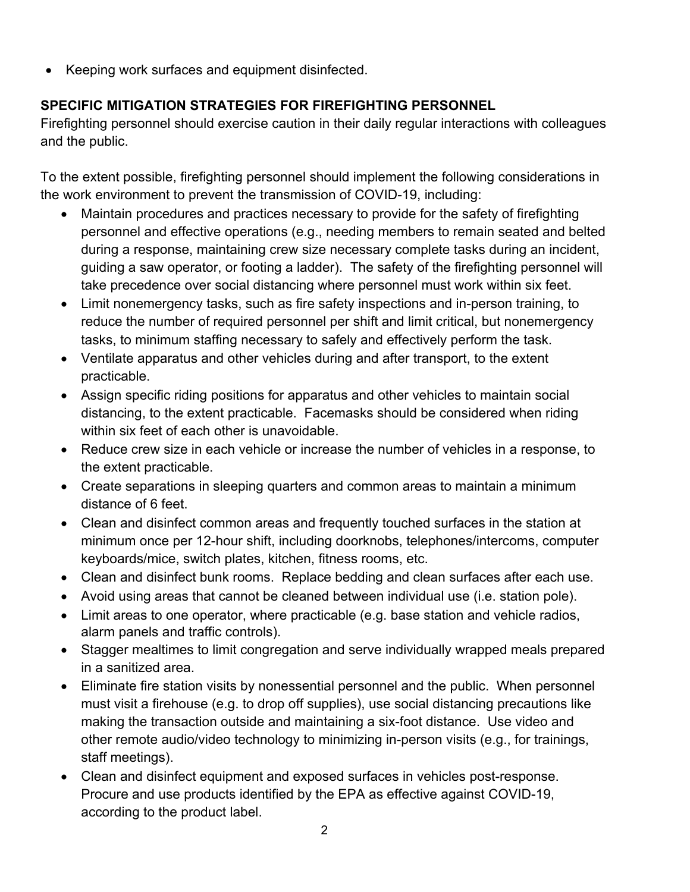• Keeping work surfaces and equipment disinfected.

## **SPECIFIC MITIGATION STRATEGIES FOR FIREFIGHTING PERSONNEL**

Firefighting personnel should exercise caution in their daily regular interactions with colleagues and the public.

To the extent possible, firefighting personnel should implement the following considerations in the work environment to prevent the transmission of COVID-19, including:

- Maintain procedures and practices necessary to provide for the safety of firefighting personnel and effective operations (e.g., needing members to remain seated and belted during a response, maintaining crew size necessary complete tasks during an incident, guiding a saw operator, or footing a ladder). The safety of the firefighting personnel will take precedence over social distancing where personnel must work within six feet.
- Limit nonemergency tasks, such as fire safety inspections and in-person training, to reduce the number of required personnel per shift and limit critical, but nonemergency tasks, to minimum staffing necessary to safely and effectively perform the task.
- Ventilate apparatus and other vehicles during and after transport, to the extent practicable.
- Assign specific riding positions for apparatus and other vehicles to maintain social distancing, to the extent practicable. Facemasks should be considered when riding within six feet of each other is unavoidable.
- Reduce crew size in each vehicle or increase the number of vehicles in a response, to the extent practicable.
- Create separations in sleeping quarters and common areas to maintain a minimum distance of 6 feet.
- Clean and disinfect common areas and frequently touched surfaces in the station at minimum once per 12-hour shift, including doorknobs, telephones/intercoms, computer keyboards/mice, switch plates, kitchen, fitness rooms, etc.
- Clean and disinfect bunk rooms. Replace bedding and clean surfaces after each use.
- Avoid using areas that cannot be cleaned between individual use (i.e. station pole).
- Limit areas to one operator, where practicable (e.g. base station and vehicle radios, alarm panels and traffic controls).
- Stagger mealtimes to limit congregation and serve individually wrapped meals prepared in a sanitized area.
- Eliminate fire station visits by nonessential personnel and the public. When personnel must visit a firehouse (e.g. to drop off supplies), use social distancing precautions like making the transaction outside and maintaining a six-foot distance. Use video and other remote audio/video technology to minimizing in-person visits (e.g., for trainings, staff meetings).
- Clean and disinfect equipment and exposed surfaces in vehicles post-response. Procure and use products identified by the EPA as effective against COVID-19, according to the product label.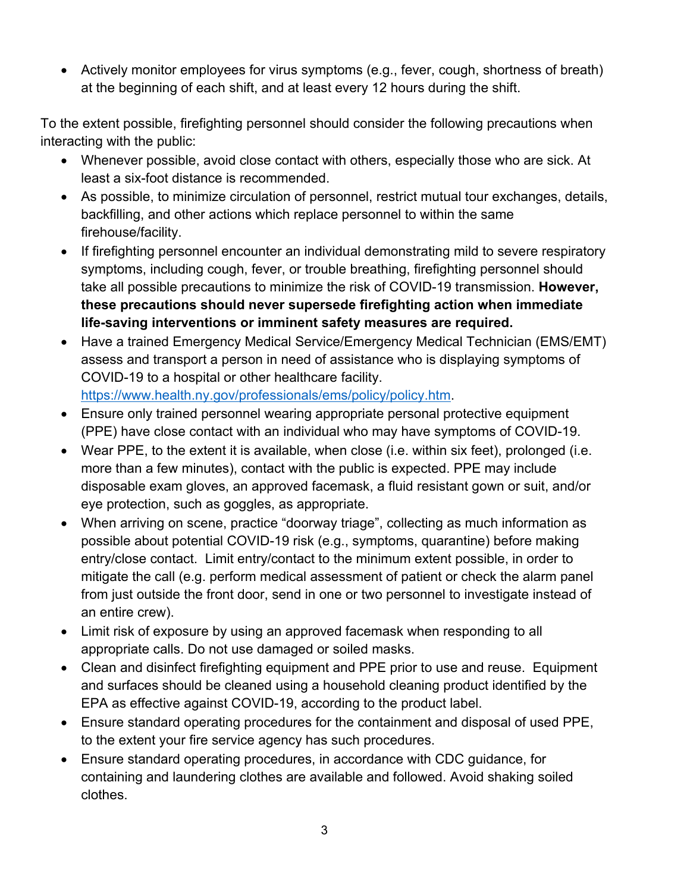• Actively monitor employees for virus symptoms (e.g., fever, cough, shortness of breath) at the beginning of each shift, and at least every 12 hours during the shift.

To the extent possible, firefighting personnel should consider the following precautions when interacting with the public:

- Whenever possible, avoid close contact with others, especially those who are sick. At least a six-foot distance is recommended.
- As possible, to minimize circulation of personnel, restrict mutual tour exchanges, details, backfilling, and other actions which replace personnel to within the same firehouse/facility.
- If firefighting personnel encounter an individual demonstrating mild to severe respiratory symptoms, including cough, fever, or trouble breathing, firefighting personnel should take all possible precautions to minimize the risk of COVID-19 transmission. **However, these precautions should never supersede firefighting action when immediate life-saving interventions or imminent safety measures are required.**
- Have a trained Emergency Medical Service/Emergency Medical Technician (EMS/EMT) assess and transport a person in need of assistance who is displaying symptoms of COVID-19 to a hospital or other healthcare facility. https://www.health.ny.gov/professionals/ems/policy/policy.htm.
- Ensure only trained personnel wearing appropriate personal protective equipment (PPE) have close contact with an individual who may have symptoms of COVID-19.
- Wear PPE, to the extent it is available, when close (i.e. within six feet), prolonged (i.e. more than a few minutes), contact with the public is expected. PPE may include disposable exam gloves, an approved facemask, a fluid resistant gown or suit, and/or eye protection, such as goggles, as appropriate.
- When arriving on scene, practice "doorway triage", collecting as much information as possible about potential COVID-19 risk (e.g., symptoms, quarantine) before making entry/close contact. Limit entry/contact to the minimum extent possible, in order to mitigate the call (e.g. perform medical assessment of patient or check the alarm panel from just outside the front door, send in one or two personnel to investigate instead of an entire crew).
- Limit risk of exposure by using an approved facemask when responding to all appropriate calls. Do not use damaged or soiled masks.
- Clean and disinfect firefighting equipment and PPE prior to use and reuse. Equipment and surfaces should be cleaned using a household cleaning product identified by the EPA as effective against COVID-19, according to the product label.
- Ensure standard operating procedures for the containment and disposal of used PPE, to the extent your fire service agency has such procedures.
- Ensure standard operating procedures, in accordance with CDC guidance, for containing and laundering clothes are available and followed. Avoid shaking soiled clothes.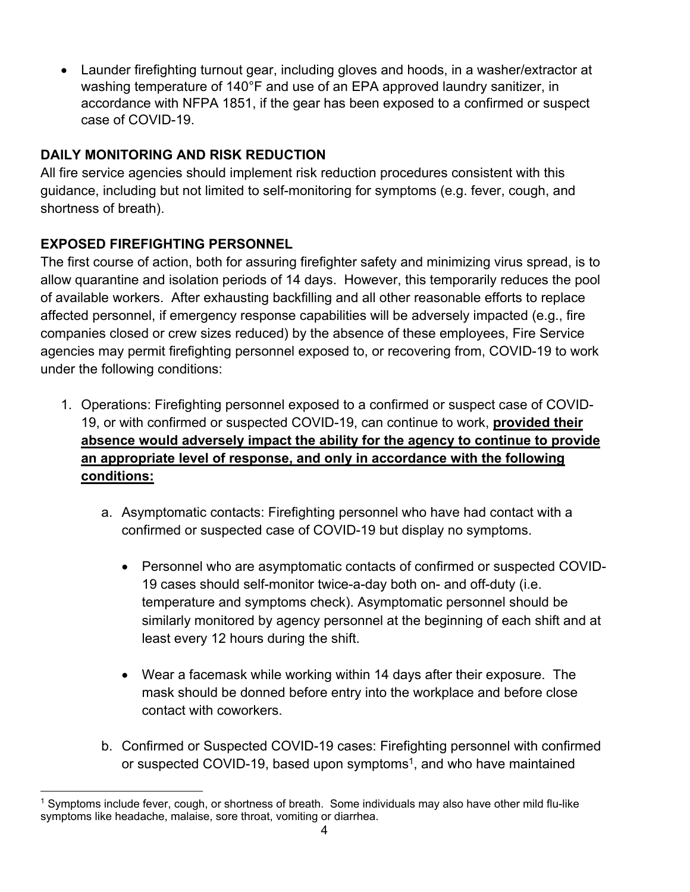Launder firefighting turnout gear, including gloves and hoods, in a washer/extractor at washing temperature of 140°F and use of an EPA approved laundry sanitizer, in accordance with NFPA 1851, if the gear has been exposed to a confirmed or suspect case of COVID-19.

## **DAILY MONITORING AND RISK REDUCTION**

All fire service agencies should implement risk reduction procedures consistent with this guidance, including but not limited to self-monitoring for symptoms (e.g. fever, cough, and shortness of breath).

## **EXPOSED FIREFIGHTING PERSONNEL**

The first course of action, both for assuring firefighter safety and minimizing virus spread, is to allow quarantine and isolation periods of 14 days. However, this temporarily reduces the pool of available workers. After exhausting backfilling and all other reasonable efforts to replace affected personnel, if emergency response capabilities will be adversely impacted (e.g., fire companies closed or crew sizes reduced) by the absence of these employees, Fire Service agencies may permit firefighting personnel exposed to, or recovering from, COVID-19 to work under the following conditions:

- 1. Operations: Firefighting personnel exposed to a confirmed or suspect case of COVID-19, or with confirmed or suspected COVID-19, can continue to work, **provided their absence would adversely impact the ability for the agency to continue to provide an appropriate level of response, and only in accordance with the following conditions:**
	- a. Asymptomatic contacts: Firefighting personnel who have had contact with a confirmed or suspected case of COVID-19 but display no symptoms.
		- Personnel who are asymptomatic contacts of confirmed or suspected COVID-19 cases should self-monitor twice-a-day both on- and off-duty (i.e. temperature and symptoms check). Asymptomatic personnel should be similarly monitored by agency personnel at the beginning of each shift and at least every 12 hours during the shift.
		- Wear a facemask while working within 14 days after their exposure. The mask should be donned before entry into the workplace and before close contact with coworkers.
	- b. Confirmed or Suspected COVID-19 cases: Firefighting personnel with confirmed or suspected COVID-19, based upon symptoms<sup>1</sup>, and who have maintained

 1 Symptoms include fever, cough, or shortness of breath. Some individuals may also have other mild flu-like symptoms like headache, malaise, sore throat, vomiting or diarrhea.